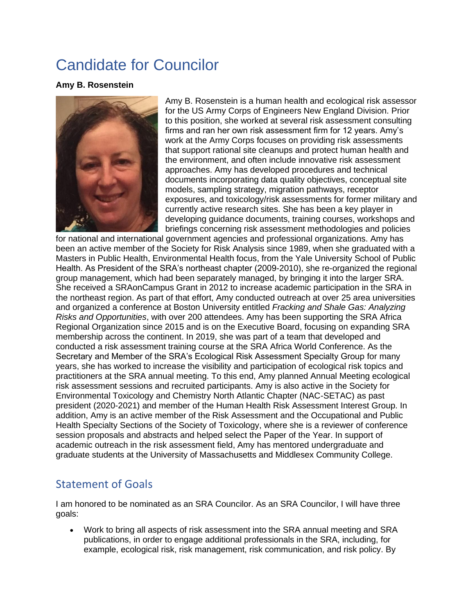## Candidate for Councilor

**Amy B. Rosenstein**



Amy B. Rosenstein is a human health and ecological risk assessor for the US Army Corps of Engineers New England Division. Prior to this position, she worked at several risk assessment consulting firms and ran her own risk assessment firm for 12 years. Amy's work at the Army Corps focuses on providing risk assessments that support rational site cleanups and protect human health and the environment, and often include innovative risk assessment approaches. Amy has developed procedures and technical documents incorporating data quality objectives, conceptual site models, sampling strategy, migration pathways, receptor exposures, and toxicology/risk assessments for former military and currently active research sites. She has been a key player in developing guidance documents, training courses, workshops and briefings concerning risk assessment methodologies and policies

for national and international government agencies and professional organizations. Amy has been an active member of the Society for Risk Analysis since 1989, when she graduated with a Masters in Public Health, Environmental Health focus, from the Yale University School of Public Health. As President of the SRA's northeast chapter (2009-2010), she re-organized the regional group management, which had been separately managed, by bringing it into the larger SRA. She received a SRAonCampus Grant in 2012 to increase academic participation in the SRA in the northeast region. As part of that effort, Amy conducted outreach at over 25 area universities and organized a conference at Boston University entitled *Fracking and Shale Gas: Analyzing Risks and Opportunities*, with over 200 attendees. Amy has been supporting the SRA Africa Regional Organization since 2015 and is on the Executive Board, focusing on expanding SRA membership across the continent. In 2019, she was part of a team that developed and conducted a risk assessment training course at the SRA Africa World Conference. As the Secretary and Member of the SRA's Ecological Risk Assessment Specialty Group for many years, she has worked to increase the visibility and participation of ecological risk topics and practitioners at the SRA annual meeting. To this end, Amy planned Annual Meeting ecological risk assessment sessions and recruited participants. Amy is also active in the Society for Environmental Toxicology and Chemistry North Atlantic Chapter (NAC-SETAC) as past president (2020-2021) and member of the Human Health Risk Assessment Interest Group. In addition, Amy is an active member of the Risk Assessment and the Occupational and Public Health Specialty Sections of the Society of Toxicology, where she is a reviewer of conference session proposals and abstracts and helped select the Paper of the Year. In support of academic outreach in the risk assessment field, Amy has mentored undergraduate and graduate students at the University of Massachusetts and Middlesex Community College.

## Statement of Goals

I am honored to be nominated as an SRA Councilor. As an SRA Councilor, I will have three goals:

• Work to bring all aspects of risk assessment into the SRA annual meeting and SRA publications, in order to engage additional professionals in the SRA, including, for example, ecological risk, risk management, risk communication, and risk policy. By